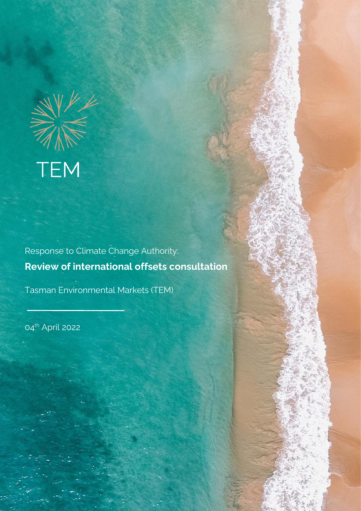

Response to Climate Change Authority: **Review of international offsets consultation**

© Tasman Environmental Markets Pty Limited 2019 Page 1 of 14

 $E$   $P$   $\rightarrow$  592 Mornington Victorian

+61 3 5977 1286

Tasman Environmental Markets (TEM)

04<sup>th</sup> April 2022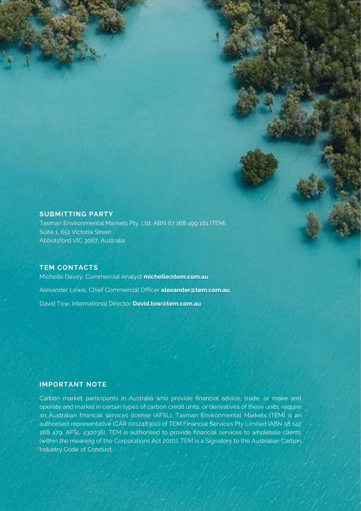#### **SUBMITTING PARTY**

Tasman Environmental Markets Pty. Ltd. ABN 67 168 499 161 (TEM). Suite 1, 651 Victoria Street Abbotsford VIC 3067, Australia

#### **TEM CONTACTS**

Michelle Davey, Commercial Analyst **michelle@tem.com.au** Alexander Lewis, Chief Commercial Officer **[alexander@tem.com.au](mailto:alex@tem.com.au)** David Tow, International Director **[David.tow@tem.com.au](mailto:David.tow@tem.com.au)**

### **IMPORTANT NOTE**

Carbon market participants in Australia who provide financial advice, trade, or make and operate and market in certain types of carbon credit units, or derivatives of these units, require an Australian financial services license (AFSL). Tasman Environmental Markets (TEM) is an authorised representative (CAR 001248300) of TEM Financial Services Pty Limited (ABN 58 142 268 479, AFSL 430036). TEM is authorised to provide financial services to wholesale clients (within the meaning of the Corporations Act 2001). TEM is a Signatory to the Australian Carbon Industry Code of Conduct.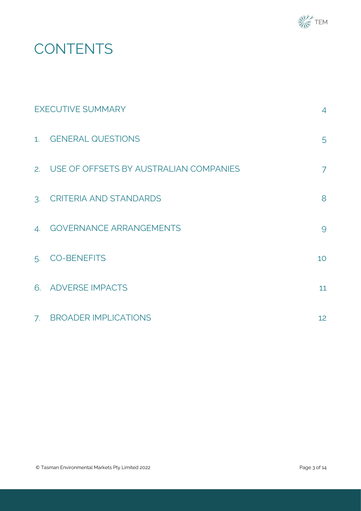

# **CONTENTS**

<span id="page-2-0"></span>

| <b>EXECUTIVE SUMMARY</b> |                                           | $\overline{4}$  |
|--------------------------|-------------------------------------------|-----------------|
|                          | 1. GENERAL QUESTIONS                      | 5               |
|                          | 2. USE OF OFFSETS BY AUSTRALIAN COMPANIES | 7               |
|                          | 3. CRITERIA AND STANDARDS                 | 8               |
| $\mathcal{A}$ .          | <b>GOVERNANCE ARRANGEMENTS</b>            | 9               |
| 5.                       | <b>CO-BENEFITS</b>                        | 10 <sup>°</sup> |
|                          | 6. ADVERSE IMPACTS                        | 11              |
|                          | 7. BROADER IMPLICATIONS                   | 12              |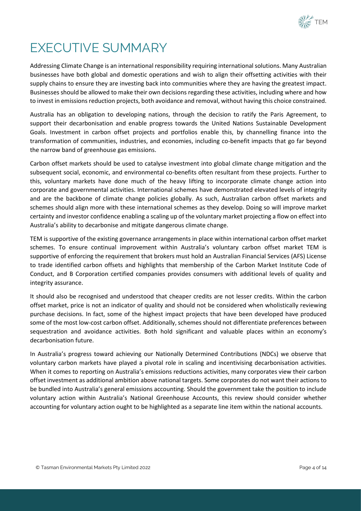

## EXECUTIVE SUMMARY

Addressing Climate Change is an international responsibility requiring international solutions. Many Australian businesses have both global and domestic operations and wish to align their offsetting activities with their supply chains to ensure they are investing back into communities where they are having the greatest impact. Businesses should be allowed to make their own decisions regarding these activities, including where and how to invest in emissions reduction projects, both avoidance and removal, without having this choice constrained.

Australia has an obligation to developing nations, through the decision to ratify the Paris Agreement, to support their decarbonisation and enable progress towards the United Nations Sustainable Development Goals. Investment in carbon offset projects and portfolios enable this, by channelling finance into the transformation of communities, industries, and economies, including co-benefit impacts that go far beyond the narrow band of greenhouse gas emissions.

Carbon offset markets should be used to catalyse investment into global climate change mitigation and the subsequent social, economic, and environmental co-benefits often resultant from these projects. Further to this, voluntary markets have done much of the heavy lifting to incorporate climate change action into corporate and governmental activities. International schemes have demonstrated elevated levels of integrity and are the backbone of climate change policies globally. As such, Australian carbon offset markets and schemes should align more with these international schemes as they develop. Doing so will improve market certainty and investor confidence enabling a scaling up of the voluntary market projecting a flow on effect into Australia's ability to decarbonise and mitigate dangerous climate change.

TEM is supportive of the existing governance arrangements in place within international carbon offset market schemes. To ensure continual improvement within Australia's voluntary carbon offset market TEM is supportive of enforcing the requirement that brokers must hold an Australian Financial Services (AFS) License to trade identified carbon offsets and highlights that membership of the Carbon Market Institute Code of Conduct, and B Corporation certified companies provides consumers with additional levels of quality and integrity assurance.

It should also be recognised and understood that cheaper credits are not lesser credits. Within the carbon offset market, price is not an indicator of quality and should not be considered when wholistically reviewing purchase decisions. In fact, some of the highest impact projects that have been developed have produced some of the most low-cost carbon offset. Additionally, schemes should not differentiate preferences between sequestration and avoidance activities. Both hold significant and valuable places within an economy's decarbonisation future.

In Australia's progress toward achieving our Nationally Determined Contributions (NDCs) we observe that voluntary carbon markets have played a pivotal role in scaling and incentivising decarbonisation activities. When it comes to reporting on Australia's emissions reductions activities, many corporates view their carbon offset investment as additional ambition above national targets. Some corporates do not want their actions to be bundled into Australia's general emissions accounting. Should the government take the position to include voluntary action within Australia's National Greenhouse Accounts, this review should consider whether accounting for voluntary action ought to be highlighted as a separate line item within the national accounts.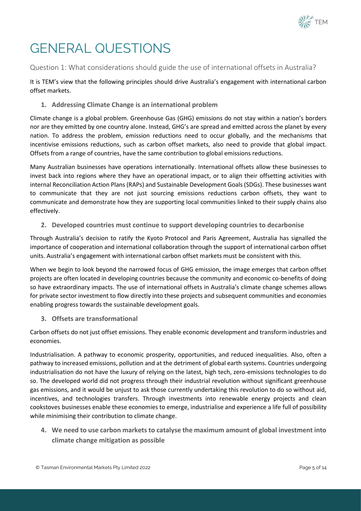

## <span id="page-4-0"></span>GENERAL QUESTIONS

Question 1: What considerations should guide the use of international offsets in Australia?

It is TEM's view that the following principles should drive Australia's engagement with international carbon offset markets.

**1. Addressing Climate Change is an international problem**

Climate change is a global problem. Greenhouse Gas (GHG) emissions do not stay within a nation's borders nor are they emitted by one country alone. Instead, GHG's are spread and emitted across the planet by every nation. To address the problem, emission reductions need to occur globally, and the mechanisms that incentivise emissions reductions, such as carbon offset markets, also need to provide that global impact. Offsets from a range of countries, have the same contribution to global emissions reductions.

Many Australian businesses have operations internationally. International offsets allow these businesses to invest back into regions where they have an operational impact, or to align their offsetting activities with internal Reconciliation Action Plans (RAPs) and Sustainable Development Goals (SDGs). These businesses want to communicate that they are not just sourcing emissions reductions carbon offsets, they want to communicate and demonstrate how they are supporting local communities linked to their supply chains also effectively.

**2. Developed countries must continue to support developing countries to decarbonise**

Through Australia's decision to ratify the Kyoto Protocol and Paris Agreement, Australia has signalled the importance of cooperation and international collaboration through the support of international carbon offset units. Australia's engagement with international carbon offset markets must be consistent with this.

When we begin to look beyond the narrowed focus of GHG emission, the image emerges that carbon offset projects are often located in developing countries because the community and economic co-benefits of doing so have extraordinary impacts. The use of international offsets in Australia's climate change schemes allows for private sector investment to flow directly into these projects and subsequent communities and economies enabling progress towards the sustainable development goals.

**3. Offsets are transformational**

Carbon offsets do not just offset emissions. They enable economic development and transform industries and economies.

Industrialisation. A pathway to economic prosperity, opportunities, and reduced inequalities. Also, often a pathway to increased emissions, pollution and at the detriment of global earth systems. Countries undergoing industrialisation do not have the luxury of relying on the latest, high tech, zero-emissions technologies to do so. The developed world did not progress through their industrial revolution without significant greenhouse gas emissions, and it would be unjust to ask those currently undertaking this revolution to do so without aid, incentives, and technologies transfers. Through investments into renewable energy projects and clean cookstoves businesses enable these economies to emerge, industrialise and experience a life full of possibility while minimising their contribution to climate change.

**4. We need to use carbon markets to catalyse the maximum amount of global investment into climate change mitigation as possible**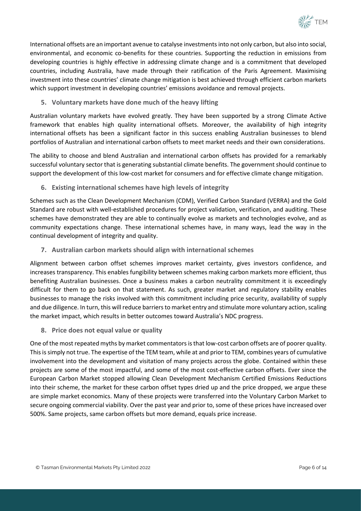

International offsets are an important avenue to catalyse investmentsinto not only carbon, but also into social, environmental, and economic co-benefits for these countries. Supporting the reduction in emissions from developing countries is highly effective in addressing climate change and is a commitment that developed countries, including Australia, have made through their ratification of the Paris Agreement. Maximising investment into these countries' climate change mitigation is best achieved through efficient carbon markets which support investment in developing countries' emissions avoidance and removal projects.

**5. Voluntary markets have done much of the heavy lifting**

Australian voluntary markets have evolved greatly. They have been supported by a strong Climate Active framework that enables high quality international offsets. Moreover, the availability of high integrity international offsets has been a significant factor in this success enabling Australian businesses to blend portfolios of Australian and international carbon offsets to meet market needs and their own considerations.

The ability to choose and blend Australian and international carbon offsets has provided for a remarkably successful voluntary sector that is generating substantial climate benefits. The government should continue to support the development of this low-cost market for consumers and for effective climate change mitigation.

**6. Existing international schemes have high levels of integrity** 

Schemes such as the Clean Development Mechanism (CDM), Verified Carbon Standard (VERRA) and the Gold Standard are robust with well-established procedures for project validation, verification, and auditing. These schemes have demonstrated they are able to continually evolve as markets and technologies evolve, and as community expectations change. These international schemes have, in many ways, lead the way in the continual development of integrity and quality.

**7. Australian carbon markets should align with international schemes**

Alignment between carbon offset schemes improves market certainty, gives investors confidence, and increases transparency. This enables fungibility between schemes making carbon markets more efficient, thus benefiting Australian businesses. Once a business makes a carbon neutrality commitment it is exceedingly difficult for them to go back on that statement. As such, greater market and regulatory stability enables businesses to manage the risks involved with this commitment including price security, availability of supply and due diligence. In turn, this will reduce barriers to market entry and stimulate more voluntary action, scaling the market impact, which results in better outcomes toward Australia's NDC progress.

**8. Price does not equal value or quality**

One of the most repeated myths by market commentators is that low-cost carbon offsets are of poorer quality. This is simply not true. The expertise of the TEM team, while at and prior to TEM, combines years of cumulative involvement into the development and visitation of many projects across the globe. Contained within these projects are some of the most impactful, and some of the most cost-effective carbon offsets. Ever since the European Carbon Market stopped allowing Clean Development Mechanism Certified Emissions Reductions into their scheme, the market for these carbon offset types dried up and the price dropped, we argue these are simple market economics. Many of these projects were transferred into the Voluntary Carbon Market to secure ongoing commercial viability. Over the past year and prior to, some of these prices have increased over 500%. Same projects, same carbon offsets but more demand, equals price increase.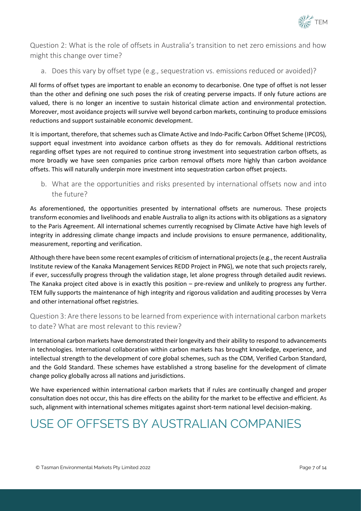

Question 2: What is the role of offsets in Australia's transition to net zero emissions and how might this change over time?

a. Does this vary by offset type (e.g., sequestration vs. emissions reduced or avoided)?

All forms of offset types are important to enable an economy to decarbonise. One type of offset is not lesser than the other and defining one such poses the risk of creating perverse impacts. If only future actions are valued, there is no longer an incentive to sustain historical climate action and environmental protection. Moreover, most avoidance projects will survive well beyond carbon markets, continuing to produce emissions reductions and support sustainable economic development.

It is important, therefore, that schemes such as Climate Active and Indo-Pacific Carbon Offset Scheme (IPCOS), support equal investment into avoidance carbon offsets as they do for removals. Additional restrictions regarding offset types are not required to continue strong investment into sequestration carbon offsets, as more broadly we have seen companies price carbon removal offsets more highly than carbon avoidance offsets. This will naturally underpin more investment into sequestration carbon offset projects.

b. What are the opportunities and risks presented by international offsets now and into the future?

As aforementioned, the opportunities presented by international offsets are numerous. These projects transform economies and livelihoods and enable Australia to align its actions with its obligations as a signatory to the Paris Agreement. All international schemes currently recognised by Climate Active have high levels of integrity in addressing climate change impacts and include provisions to ensure permanence, additionality, measurement, reporting and verification.

Although there have been some recent examples of criticism of international projects (e.g., the recent Australia Institute review of the Kanaka Management Services REDD Project in PNG), we note that such projects rarely, if ever, successfully progress through the validation stage, let alone progress through detailed audit reviews. The Kanaka project cited above is in exactly this position – pre-review and unlikely to progress any further. TEM fully supports the maintenance of high integrity and rigorous validation and auditing processes by Verra and other international offset registries.

### Question 3: Are there lessons to be learned from experience with international carbon markets to date? What are most relevant to this review?

International carbon markets have demonstrated their longevity and their ability to respond to advancements in technologies. International collaboration within carbon markets has brought knowledge, experience, and intellectual strength to the development of core global schemes, such as the CDM, Verified Carbon Standard, and the Gold Standard. These schemes have established a strong baseline for the development of climate change policy globally across all nations and jurisdictions.

We have experienced within international carbon markets that if rules are continually changed and proper consultation does not occur, this has dire effects on the ability for the market to be effective and efficient. As such, alignment with international schemes mitigates against short-term national level decision-making.

## <span id="page-6-0"></span>USE OF OFFSETS BY AUSTRALIAN COMPANIES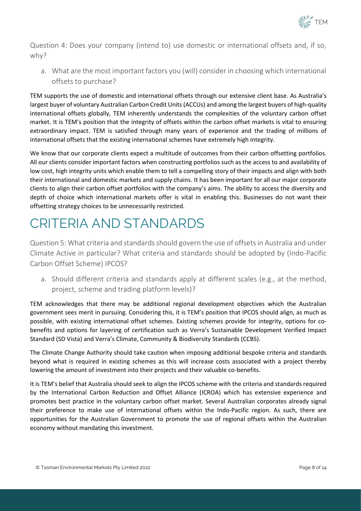

Question 4: Does your company (intend to) use domestic or international offsets and, if so, why?

a. What are the most important factors you (will) consider in choosing which international offsets to purchase?

TEM supports the use of domestic and international offsets through our extensive client base. As Australia's largest buyer of voluntary Australian Carbon Credit Units (ACCUs) and among the largest buyers of high-quality international offsets globally, TEM inherently understands the complexities of the voluntary carbon offset market. It is TEM's position that the integrity of offsets within the carbon offset markets is vital to ensuring extraordinary impact. TEM is satisfied through many years of experience and the trading of millions of international offsets that the existing international schemes have extremely high integrity.

We know that our corporate clients expect a multitude of outcomes from their carbon offsetting portfolios. All our clients consider important factors when constructing portfolios such as the access to and availability of low cost, high integrity units which enable them to tell a compelling story of their impacts and align with both their international and domestic markets and supply chains. It has been important for all our major corporate clients to align their carbon offset portfolios with the company's aims. The ability to access the diversity and depth of choice which international markets offer is vital in enabling this. Businesses do not want their offsetting strategy choices to be unnecessarily restricted.

## <span id="page-7-0"></span>CRITERIA AND STANDARDS

Question 5: What criteria and standards should govern the use of offsets in Australia and under Climate Active in particular? What criteria and standards should be adopted by (Indo-Pacific Carbon Offset Scheme) IPCOS?

a. Should different criteria and standards apply at different scales (e.g., at the method, project, scheme and trading platform levels)?

TEM acknowledges that there may be additional regional development objectives which the Australian government sees merit in pursuing. Considering this, it is TEM's position that IPCOS should align, as much as possible, with existing international offset schemes. Existing schemes provide for integrity, options for cobenefits and options for layering of certification such as Verra's Sustainable Development Verified Impact Standard (SD Vista) and Verra's Climate, Community & Biodiversity Standards (CCBS).

The Climate Change Authority should take caution when imposing additional bespoke criteria and standards beyond what is required in existing schemes as this will increase costs associated with a project thereby lowering the amount of investment into their projects and their valuable co-benefits.

It is TEM's belief that Australia should seek to align the IPCOS scheme with the criteria and standards required by the International Carbon Reduction and Offset Alliance (ICROA) which has extensive experience and promotes best practice in the voluntary carbon offset market. Several Australian corporates already signal their preference to make use of international offsets within the Indo-Pacific region. As such, there are opportunities for the Australian Government to promote the use of regional offsets within the Australian economy without mandating this investment.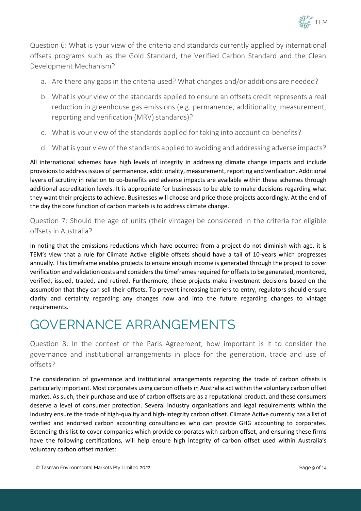

Question 6: What is your view of the criteria and standards currently applied by international offsets programs such as the Gold Standard, the Verified Carbon Standard and the Clean Development Mechanism?

- a. Are there any gaps in the criteria used? What changes and/or additions are needed?
- b. What is your view of the standards applied to ensure an offsets credit represents a real reduction in greenhouse gas emissions (e.g. permanence, additionality, measurement, reporting and verification (MRV) standards)?
- c. What is your view of the standards applied for taking into account co-benefits?
- d. What is your view of the standards applied to avoiding and addressing adverse impacts?

All international schemes have high levels of integrity in addressing climate change impacts and include provisions to address issues of permanence, additionality, measurement, reporting and verification. Additional layers of scrutiny in relation to co-benefits and adverse impacts are available within these schemes through additional accreditation levels. It is appropriate for businesses to be able to make decisions regarding what they want their projects to achieve. Businesses will choose and price those projects accordingly. At the end of the day the core function of carbon markets is to address climate change.

Question 7: Should the age of units (their vintage) be considered in the criteria for eligible offsets in Australia?

In noting that the emissions reductions which have occurred from a project do not diminish with age, it is TEM's view that a rule for Climate Active eligible offsets should have a tail of 10-years which progresses annually. This timeframe enables projects to ensure enough income is generated through the project to cover verification and validation costs and considers the timeframes required for offsets to be generated, monitored, verified, issued, traded, and retired. Furthermore, these projects make investment decisions based on the assumption that they can sell their offsets. To prevent increasing barriers to entry, regulators should ensure clarity and certainty regarding any changes now and into the future regarding changes to vintage requirements.

### <span id="page-8-0"></span>GOVERNANCE ARRANGEMENTS

Question 8: In the context of the Paris Agreement, how important is it to consider the governance and institutional arrangements in place for the generation, trade and use of offsets?

The consideration of governance and institutional arrangements regarding the trade of carbon offsets is particularly important. Most corporates using carbon offsets in Australia act within the voluntary carbon offset market. As such, their purchase and use of carbon offsets are as a reputational product, and these consumers deserve a level of consumer protection. Several industry organisations and legal requirements within the industry ensure the trade of high-quality and high-integrity carbon offset. Climate Active currently has a list of verified and endorsed carbon accounting consultancies who can provide GHG accounting to corporates. Extending this list to cover companies which provide corporates with carbon offset, and ensuring these firms have the following certifications, will help ensure high integrity of carbon offset used within Australia's voluntary carbon offset market: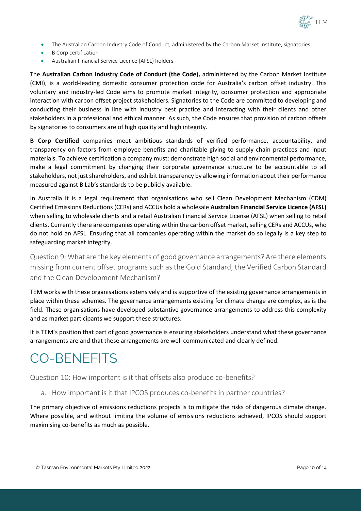

- The Australian Carbon Industry Code of Conduct, administered by the Carbon Market Institute, signatories
- **B** Corp certification
- Australian Financial Service Licence (AFSL) holders

The **Australian Carbon Industry Code of Conduct (the Code),** administered by the Carbon Market Institute (CMI), is a world-leading domestic consumer protection code for Australia's carbon offset industry. This voluntary and industry-led Code aims to promote market integrity, consumer protection and appropriate interaction with carbon offset project stakeholders. Signatories to the Code are committed to developing and conducting their business in line with industry best practice and interacting with their clients and other stakeholders in a professional and ethical manner. As such, the Code ensures that provision of carbon offsets by signatories to consumers are of high quality and high integrity.

**B Corp Certified** companies meet ambitious standards of verified performance, accountability, and transparency on factors from employee benefits and charitable giving to supply chain practices and input materials. To achieve certification a company must: demonstrate high social and environmental performance, make a legal commitment by changing their corporate governance structure to be accountable to all stakeholders, not just shareholders, and exhibit transparency by allowing information about their performance measured against B Lab's standards to be publicly available.

In Australia it is a legal requirement that organisations who sell Clean Development Mechanism (CDM) Certified Emissions Reductions (CERs) and ACCUs hold a wholesale **Australian Financial Service Licence (AFSL)** when selling to wholesale clients and a retail Australian Financial Service License (AFSL) when selling to retail clients. Currently there are companies operating within the carbon offset market, selling CERs and ACCUs, who do not hold an AFSL. Ensuring that all companies operating within the market do so legally is a key step to safeguarding market integrity.

Question 9: What are the key elements of good governance arrangements? Are there elements missing from current offset programs such as the Gold Standard, the Verified Carbon Standard and the Clean Development Mechanism?

TEM works with these organisations extensively and is supportive of the existing governance arrangements in place within these schemes. The governance arrangements existing for climate change are complex, as is the field. These organisations have developed substantive governance arrangements to address this complexity and as market participants we support these structures.

It is TEM's position that part of good governance is ensuring stakeholders understand what these governance arrangements are and that these arrangements are well communicated and clearly defined.

### <span id="page-9-0"></span>CO-BENEFITS

Question 10: How important is it that offsets also produce co-benefits?

a. How important is it that IPCOS produces co-benefits in partner countries?

The primary objective of emissions reductions projects is to mitigate the risks of dangerous climate change. Where possible, and without limiting the volume of emissions reductions achieved, IPCOS should support maximising co-benefits as much as possible.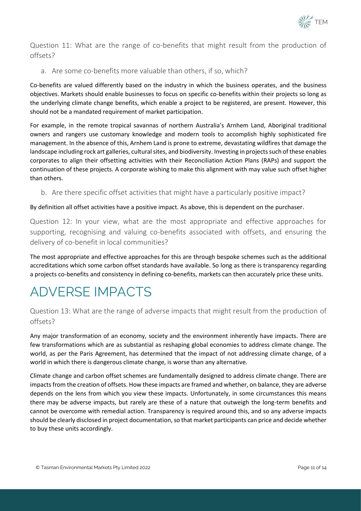

Question 11: What are the range of co-benefits that might result from the production of offsets?

a. Are some co-benefits more valuable than others, if so, which?

Co-benefits are valued differently based on the industry in which the business operates, and the business objectives. Markets should enable businesses to focus on specific co-benefits within their projects so long as the underlying climate change benefits, which enable a project to be registered, are present. However, this should not be a mandated requirement of market participation.

For example, in the remote tropical savannas of northern Australia's Arnhem Land, Aboriginal traditional owners and rangers use customary knowledge and modern tools to accomplish highly sophisticated fire management. In the absence of this, Arnhem Land is prone to extreme, devastating wildfires that damage the landscape including rock art galleries, cultural sites, and biodiversity. Investing in projects such of these enables corporates to align their offsetting activities with their Reconciliation Action Plans (RAPs) and support the continuation of these projects. A corporate wishing to make this alignment with may value such offset higher than others.

b. Are there specific offset activities that might have a particularly positive impact?

### By definition all offset activities have a positive impact. As above, this is dependent on the purchaser.

Question 12: In your view, what are the most appropriate and effective approaches for supporting, recognising and valuing co-benefits associated with offsets, and ensuring the delivery of co-benefit in local communities?

The most appropriate and effective approaches for this are through bespoke schemes such as the additional accreditations which some carbon offset standards have available. So long as there is transparency regarding a projects co-benefits and consistency in defining co-benefits, markets can then accurately price these units.

### <span id="page-10-0"></span>ADVERSE IMPACTS

Question 13: What are the range of adverse impacts that might result from the production of offsets?

Any major transformation of an economy, society and the environment inherently have impacts. There are few transformations which are as substantial as reshaping global economies to address climate change. The world, as per the Paris Agreement, has determined that the impact of not addressing climate change, of a world in which there is dangerous climate change, is worse than any alternative.

Climate change and carbon offset schemes are fundamentally designed to address climate change. There are impacts from the creation of offsets. How these impacts are framed and whether, on balance, they are adverse depends on the lens from which you view these impacts. Unfortunately, in some circumstances this means there may be adverse impacts, but rarely are these of a nature that outweigh the long-term benefits and cannot be overcome with remedial action. Transparency is required around this, and so any adverse impacts should be clearly disclosed in project documentation, so that market participants can price and decide whether to buy these units accordingly.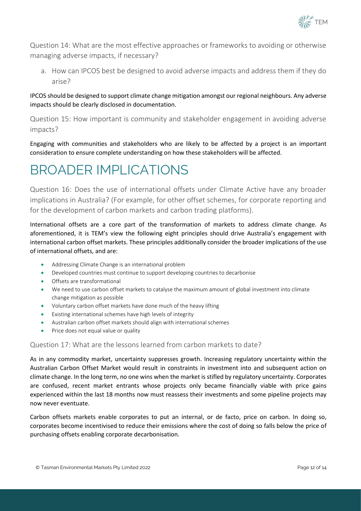

Question 14: What are the most effective approaches or frameworks to avoiding or otherwise managing adverse impacts, if necessary?

a. How can IPCOS best be designed to avoid adverse impacts and address them if they do arise?

### IPCOS should be designed to support climate change mitigation amongst our regional neighbours. Any adverse impacts should be clearly disclosed in documentation.

Question 15: How important is community and stakeholder engagement in avoiding adverse impacts?

Engaging with communities and stakeholders who are likely to be affected by a project is an important consideration to ensure complete understanding on how these stakeholders will be affected.

## <span id="page-11-0"></span>BROADER IMPLICATIONS

Question 16: Does the use of international offsets under Climate Active have any broader implications in Australia? (For example, for other offset schemes, for corporate reporting and for the development of carbon markets and carbon trading platforms).

International offsets are a core part of the transformation of markets to address climate change. As aforementioned, it is TEM's view the following eight principles should drive Australia's engagement with international carbon offset markets. These principles additionally consider the broader implications of the use of international offsets, and are:

- Addressing Climate Change is an international problem
- Developed countries must continue to support developing countries to decarbonise
- Offsets are transformational
- We need to use carbon offset markets to catalyse the maximum amount of global investment into climate change mitigation as possible
- Voluntary carbon offset markets have done much of the heavy lifting
- Existing international schemes have high levels of integrity
- Australian carbon offset markets should align with international schemes
- Price does not equal value or quality

### Question 17: What are the lessons learned from carbon markets to date?

As in any commodity market, uncertainty suppresses growth. Increasing regulatory uncertainty within the Australian Carbon Offset Market would result in constraints in investment into and subsequent action on climate change. In the long term, no one wins when the market is stifled by regulatory uncertainty. Corporates are confused, recent market entrants whose projects only became financially viable with price gains experienced within the last 18 months now must reassess their investments and some pipeline projects may now never eventuate.

Carbon offsets markets enable corporates to put an internal, or de facto, price on carbon. In doing so, corporates become incentivised to reduce their emissions where the cost of doing so falls below the price of purchasing offsets enabling corporate decarbonisation.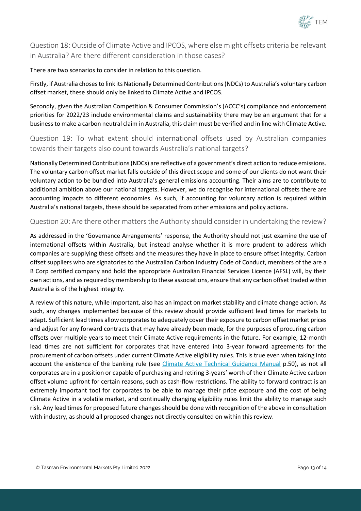

Question 18: Outside of Climate Active and IPCOS, where else might offsets criteria be relevant in Australia? Are there different consideration in those cases?

There are two scenarios to consider in relation to this question.

Firstly, if Australia choses to link its Nationally Determined Contributions (NDCs) to Australia's voluntary carbon offset market, these should only be linked to Climate Active and IPCOS.

Secondly, given the Australian Competition & Consumer Commission's (ACCC's) compliance and enforcement priorities for 2022/23 include environmental claims and sustainability there may be an argument that for a business to make a carbon neutral claim in Australia, this claim must be verified and in line with Climate Active.

Question 19: To what extent should international offsets used by Australian companies towards their targets also count towards Australia's national targets?

Nationally Determined Contributions (NDCs) are reflective of a government's direct action to reduce emissions. The voluntary carbon offset market falls outside of this direct scope and some of our clients do not want their voluntary action to be bundled into Australia's general emissions accounting. Their aims are to contribute to additional ambition above our national targets. However, we do recognise for international offsets there are accounting impacts to different economies. As such, if accounting for voluntary action is required within Australia's national targets, these should be separated from other emissions and policy actions.

### Question 20: Are there other matters the Authority should consider in undertaking the review?

As addressed in the 'Governance Arrangements' response, the Authority should not just examine the use of international offsets within Australia, but instead analyse whether it is more prudent to address which companies are supplying these offsets and the measures they have in place to ensure offset integrity. Carbon offset suppliers who are signatories to the Australian Carbon Industry Code of Conduct, members of the are a B Corp certified company and hold the appropriate Australian Financial Services Licence (AFSL) will, by their own actions, and as required by membership to these associations, ensure that any carbon offset traded within Australia is of the highest integrity.

A review of this nature, while important, also has an impact on market stability and climate change action. As such, any changes implemented because of this review should provide sufficient lead times for markets to adapt. Sufficient lead times allow corporates to adequately cover their exposure to carbon offset market prices and adjust for any forward contracts that may have already been made, for the purposes of procuring carbon offsets over multiple years to meet their Climate Active requirements in the future. For example, 12-month lead times are not sufficient for corporates that have entered into 3-year forward agreements for the procurement of carbon offsets under current Climate Active eligibility rules. This is true even when taking into account the existence of the banking rule (see [Climate Active Technical Guidance Manual](https://www.industry.gov.au/sites/default/files/2020-09/climate-active-technical-guidance-manual.pdf) p.50), as not all corporates are in a position or capable of purchasing and retiring 3-years' worth of their Climate Active carbon offset volume upfront for certain reasons, such as cash-flow restrictions. The ability to forward contract is an extremely important tool for corporates to be able to manage their price exposure and the cost of being Climate Active in a volatile market, and continually changing eligibility rules limit the ability to manage such risk. Any lead times for proposed future changes should be done with recognition of the above in consultation with industry, as should all proposed changes not directly consulted on within this review.